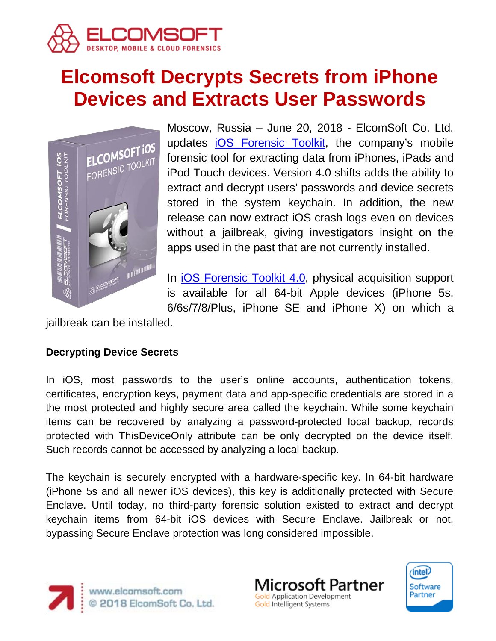

# **Elcomsoft Decrypts Secrets from iPhone Devices and Extracts User Passwords**



Moscow, Russia – June 20, 2018 - ElcomSoft Co. Ltd. updates [iOS Forensic Toolkit,](https://www.elcomsoft.com/eift.html) the company's mobile forensic tool for extracting data from iPhones, iPads and iPod Touch devices. Version 4.0 shifts adds the ability to extract and decrypt users' passwords and device secrets stored in the system keychain. In addition, the new release can now extract iOS crash logs even on devices without a jailbreak, giving investigators insight on the apps used in the past that are not currently installed.

In [iOS Forensic Toolkit 4.0,](https://www.elcomsoft.com/eift.html) physical acquisition support is available for all 64-bit Apple devices (iPhone 5s, 6/6s/7/8/Plus, iPhone SE and iPhone X) on which a

jailbreak can be installed.

## **Decrypting Device Secrets**

In iOS, most passwords to the user's online accounts, authentication tokens, certificates, encryption keys, payment data and app-specific credentials are stored in a the most protected and highly secure area called the keychain. While some keychain items can be recovered by analyzing a password-protected local backup, records protected with ThisDeviceOnly attribute can be only decrypted on the device itself. Such records cannot be accessed by analyzing a local backup.

The keychain is securely encrypted with a hardware-specific key. In 64-bit hardware (iPhone 5s and all newer iOS devices), this key is additionally protected with Secure Enclave. Until today, no third-party forensic solution existed to extract and decrypt keychain items from 64-bit iOS devices with Secure Enclave. Jailbreak or not, bypassing Secure Enclave protection was long considered impossible.





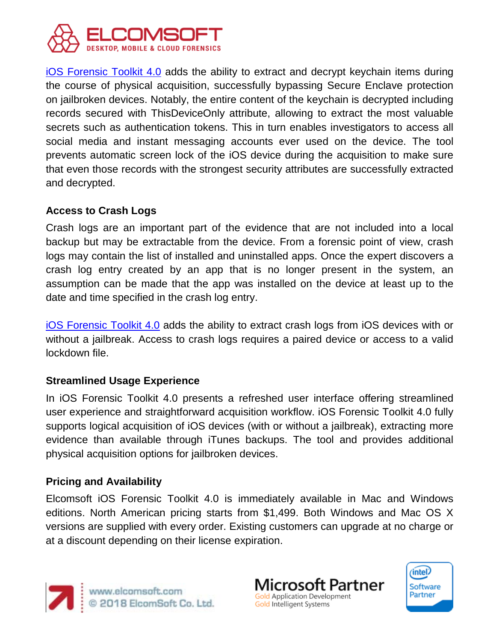

[iOS Forensic Toolkit 4.0](https://www.elcomsoft.com/eift.html) adds the ability to extract and decrypt keychain items during the course of physical acquisition, successfully bypassing Secure Enclave protection on jailbroken devices. Notably, the entire content of the keychain is decrypted including records secured with ThisDeviceOnly attribute, allowing to extract the most valuable secrets such as authentication tokens. This in turn enables investigators to access all social media and instant messaging accounts ever used on the device. The tool prevents automatic screen lock of the iOS device during the acquisition to make sure that even those records with the strongest security attributes are successfully extracted and decrypted.

### **Access to Crash Logs**

Crash logs are an important part of the evidence that are not included into a local backup but may be extractable from the device. From a forensic point of view, crash logs may contain the list of installed and uninstalled apps. Once the expert discovers a crash log entry created by an app that is no longer present in the system, an assumption can be made that the app was installed on the device at least up to the date and time specified in the crash log entry.

[iOS Forensic Toolkit 4.0](https://www.elcomsoft.com/eift.html) adds the ability to extract crash logs from iOS devices with or without a jailbreak. Access to crash logs requires a paired device or access to a valid lockdown file.

### **Streamlined Usage Experience**

In iOS Forensic Toolkit 4.0 presents a refreshed user interface offering streamlined user experience and straightforward acquisition workflow. iOS Forensic Toolkit 4.0 fully supports logical acquisition of iOS devices (with or without a jailbreak), extracting more evidence than available through iTunes backups. The tool and provides additional physical acquisition options for jailbroken devices.

### **Pricing and Availability**

Elcomsoft iOS Forensic Toolkit 4.0 is immediately available in Mac and Windows editions. North American pricing starts from \$1,499. Both Windows and Mac OS X versions are supplied with every order. Existing customers can upgrade at no charge or at a discount depending on their license expiration.